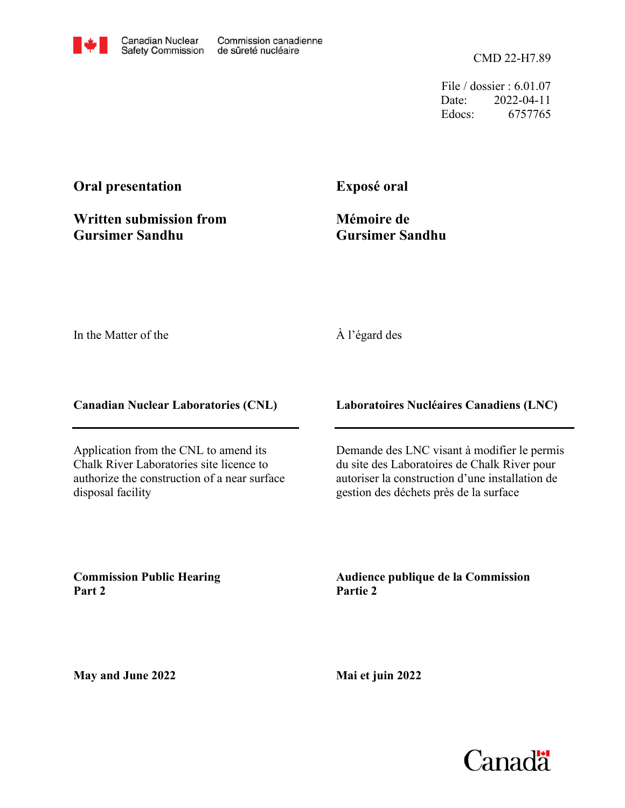CMD 22-H7.89

File / dossier : 6.01.07 Date: 2022-04-11 Edocs: 6757765

## **Oral presentation**

**Written submission from Gursimer Sandhu**

## **Exposé oral**

**Mémoire de Gursimer Sandhu**

In the Matter of the

## À l'égard des

**Canadian Nuclear Laboratories (CNL)**

Application from the CNL to amend its Chalk River Laboratories site licence to authorize the construction of a near surface disposal facility

**Laboratoires Nucléaires Canadiens (LNC)**

Demande des LNC visant à modifier le permis du site des Laboratoires de Chalk River pour autoriser la construction d'une installation de gestion des déchets près de la surface

**Commission Public Hearing Part 2**

**Audience publique de la Commission Partie 2**

**May and June 2022**

**Mai et juin 2022**